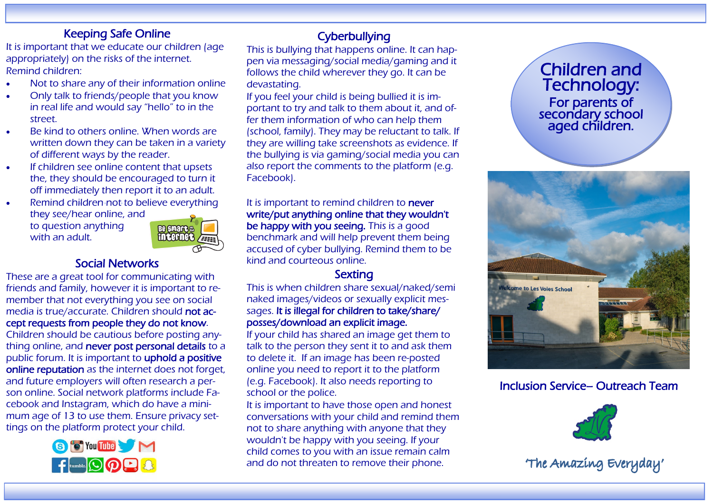#### Keeping Safe Online

It is important that we educate our children (age appropriately) on the risks of the internet. Remind children:

- Not to share any of their information online
- Only talk to friends/people that you know in real life and would say "hello" to in the street.
- Be kind to others online. When words are written down they can be taken in a variety of different ways by the reader.
- If children see online content that upsets the, they should be encouraged to turn it off immediately then report it to an adult.
- Remind children not to believe everything they see/hear online, and

to question anything with an adult.



#### Social Networks

These are a great tool for communicating with friends and family, however it is important to remember that not everything you see on social media is true/accurate. Children should not accept requests from people they do not know.

Children should be cautious before posting anything online, and never post personal details to a public forum. It is important to uphold a positive online reputation as the internet does not forget, and future employers will often research a person online. Social network platforms include Facebook and Instagram, which do have a minimum age of 13 to use them. Ensure privacy settings on the platform protect your child.



#### **Cyberbullying**

This is bullying that happens online. It can happen via messaging/social media/gaming and it follows the child wherever they go. It can be devastating.

If you feel your child is being bullied it is important to try and talk to them about it, and offer them information of who can help them (school, family). They may be reluctant to talk. If they are willing take screenshots as evidence. If the bullying is via gaming/social media you can also report the comments to the platform (e.g. Facebook).

#### It is important to remind children to never write/put anything online that they wouldn't be happy with you seeing. This is a good benchmark and will help prevent them being accused of cyber bullying. Remind them to be kind and courteous online.

#### **Sexting**

This is when children share sexual/naked/semi naked images/videos or sexually explicit messages. It is illegal for children to take/share/ posses/download an explicit image.

If your child has shared an image get them to talk to the person they sent it to and ask them to delete it. If an image has been re-posted online you need to report it to the platform (e.g. Facebook). It also needs reporting to school or the police.

It is important to have those open and honest conversations with your child and remind them not to share anything with anyone that they wouldn't be happy with you seeing. If your child comes to you with an issue remain calm and do not threaten to remove their phone.





### Inclusion Service– Outreach Team



The Amazing Everyday'